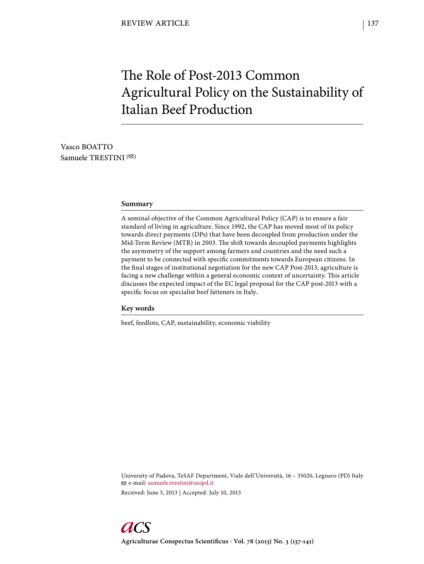# The Role of Post-2013 Common Agricultural Policy on the Sustainability of Italian Beef Production

Vasco BOATTO Samuele TRESTINI $($ 

# **Summary**

A seminal objective of the Common Agricultural Policy (CAP) is to ensure a fair standard of living in agriculture. Since 1992, the CAP has moved most of its policy towards direct payments (DPs) that have been decoupled from production under the Mid-Term Review (MTR) in 2003. The shift towards decoupled payments highlights the asymmetry of the support among farmers and countries and the need such a payment to be connected with specific commitments towards European citizens. In the final stages of institutional negotiation for the new CAP Post-2013, agriculture is facing a new challenge within a general economic context of uncertainty. This article discusses the expected impact of the EC legal proposal for the CAP post-2013 with a specific focus on specialist beef fatteners in Italy.

# **Key words**

beef, feedlots, CAP, sustainability, economic viability

University of Padova, TeSAF Department, Viale dell'Università, 16 – 35020, Legnaro (PD) Italy e-mail: samuele.trestini@unipd.it Received: June 5, 2013 | Accepted: July 10, 2013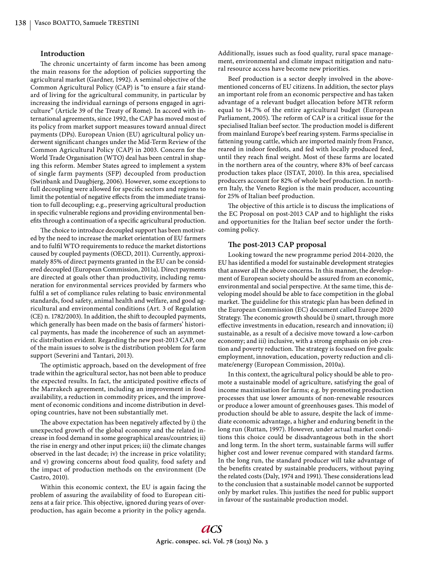# **Introduction**

The chronic uncertainty of farm income has been among the main reasons for the adoption of policies supporting the agricultural market (Gardner, 1992). A seminal objective of the Common Agricultural Policy (CAP) is "to ensure a fair standard of living for the agricultural community, in particular by increasing the individual earnings of persons engaged in agriculture" (Article 39 of the Treaty of Rome). In accord with international agreements, since 1992, the CAP has moved most of its policy from market support measures toward annual direct payments (DPs). European Union (EU) agricultural policy underwent significant changes under the Mid-Term Review of the Common Agricultural Policy (CAP) in 2003. Concern for the World Trade Organisation (WTO) deal has been central in shaping this reform. Member States agreed to implement a system of single farm payments (SFP) decoupled from production (Swinbank and Daugbjerg, 2006). However, some exceptions to full decoupling were allowed for specific sectors and regions to limit the potential of negative effects from the immediate transition to full decoupling; e.g., preserving agricultural production in specific vulnerable regions and providing environmental benefits through a continuation of a specific agricultural production.

The choice to introduce decoupled support has been motivated by the need to increase the market orientation of EU farmers and to fulfil WTO requirements to reduce the market distortions caused by coupled payments (OECD, 2011). Currently, approximately 85% of direct payments granted in the EU can be considered decoupled (European Commission, 2011a). Direct payments are directed at goals other than productivity, including remuneration for environmental services provided by farmers who fulfil a set of compliance rules relating to basic environmental standards, food safety, animal health and welfare, and good agricultural and environmental conditions (Art. 3 of Regulation (CE) n. 1782/2003). In addition, the shift to decoupled payments, which generally has been made on the basis of farmers' historical payments, has made the incoherence of such an asymmetric distribution evident. Regarding the new post-2013 CAP, one of the main issues to solve is the distribution problem for farm support (Severini and Tantari, 2013).

The optimistic approach, based on the development of free trade within the agricultural sector, has not been able to produce the expected results. In fact, the anticipated positive effects of the Marrakech agreement, including an improvement in food availability, a reduction in commodity prices, and the improvement of economic conditions and income distribution in developing countries, have not been substantially met.

The above expectation has been negatively affected by i) the unexpected growth of the global economy and the related increase in food demand in some geographical areas/countries; ii) the rise in energy and other input prices; iii) the climate changes observed in the last decade; iv) the increase in price volatility; and v) growing concerns about food quality, food safety and the impact of production methods on the environment (De Castro, 2010).

Within this economic context, the EU is again facing the problem of assuring the availability of food to European citizens at a fair price. This objective, ignored during years of overproduction, has again become a priority in the policy agenda. Additionally, issues such as food quality, rural space management, environmental and climate impact mitigation and natural resource access have become new priorities.

Beef production is a sector deeply involved in the abovementioned concerns of EU citizens. In addition, the sector plays an important role from an economic perspective and has taken advantage of a relevant budget allocation before MTR reform equal to 14.7% of the entire agricultural budget (European Parliament, 2005). The reform of CAP is a critical issue for the specialised Italian beef sector. The production model is different from mainland Europe's beef rearing system. Farms specialise in fattening young cattle, which are imported mainly from France, reared in indoor feedlots, and fed with locally produced feed, until they reach final weight. Most of these farms are located in the northern area of the country, where 83% of beef carcass production takes place (ISTAT, 2010). In this area, specialised producers account for 82% of whole beef production. In northern Italy, the Veneto Region is the main producer, accounting for 25% of Italian beef production.

The objective of this article is to discuss the implications of the EC Proposal on post-2013 CAP and to highlight the risks and opportunities for the Italian beef sector under the forthcoming policy.

# The post-2013 CAP proposal

Looking toward the new programme period 2014-2020, the EU has identified a model for sustainable development strategies that answer all the above concerns. In this manner, the development of European society should be assured from an economic, environmental and social perspective. At the same time, this developing model should be able to face competition in the global market. The guideline for this strategic plan has been defined in the European Commission (EC) document called Europe 2020 Strategy. The economic growth should be i) smart, through more effective investments in education, research and innovation; ii) sustainable, as a result of a decisive move toward a low-carbon economy; and iii) inclusive, with a strong emphasis on job creation and poverty reduction. The strategy is focused on five goals: employment, innovation, education, poverty reduction and climate/energy (European Commission, 2010a).

In this context, the agricultural policy should be able to promote a sustainable model of agriculture, satisfying the goal of income maximisation for farms; e.g. by promoting production processes that use lower amounts of non-renewable resources or produce a lower amount of greenhouses gases. This model of production should be able to assure, despite the lack of immediate economic advantage, a higher and enduring benefit in the long run (Ruttan, 1997). However, under actual market conditions this choice could be disadvantageous both in the short and long term. In the short term, sustainable farms will suffer higher cost and lower revenue compared with standard farms. In the long run, the standard producer will take advantage of the benefits created by sustainable producers, without paying the related costs (Daly, 1974 and 1991). These considerations lead to the conclusion that a sustainable model cannot be supported only by market rules. This justifies the need for public support in favour of the sustainable production model.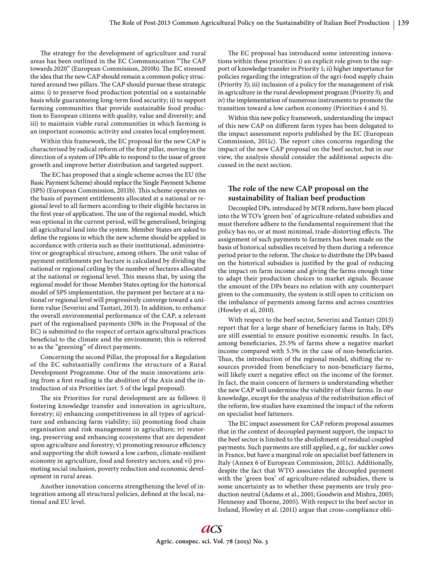The strategy for the development of agriculture and rural areas has been outlined in the EC Communication "The CAP towards 2020" (European Commission, 2010b). The EC stressed the idea that the new CAP should remain a common policy structured around two pillars. The CAP should pursue these strategic aims: i) to preserve food production potential on a sustainable basis while guaranteeing long-term food security; ii) to support farming communities that provide sustainable food production to European citizens with quality, value and diversity; and iii) to maintain viable rural communities in which farming is an important economic activity and creates local employment.

Within this framework, the EC proposal for the new CAP is characterised by radical reform of the first pillar, moving in the direction of a system of DPs able to respond to the issue of green growth and improve better distribution and targeted support.

The EC has proposed that a single scheme across the EU (the Basic Payment Scheme) should replace the Single Payment Scheme (SPS) (European Commission, 2011b). This scheme operates on the basis of payment entitlements allocated at a national or regional level to all farmers according to their eligible hectares in the first year of application. The use of the regional model, which was optional in the current period, will be generalised, bringing all agricultural land into the system. Member States are asked to define the regions in which the new scheme should be applied in accordance with criteria such as their institutional, administrative or geographical structure, among others. The unit value of payment entitlements per hectare is calculated by dividing the national or regional ceiling by the number of hectares allocated at the national or regional level. This means that, by using the regional model for those Member States opting for the historical model of SPS implementation, the payment per hectare at a national or regional level will progressively converge toward a uniform value (Severini and Tantari, 2013). In addition, to enhance the overall environmental performance of the CAP, a relevant part of the regionalised payments (30% in the Proposal of the EC) is submitted to the respect of certain agricultural practices beneficial to the climate and the environment; this is referred to as the "greening" of direct payments.

Concerning the second Pillar, the proposal for a Regulation of the EC substantially confirms the structure of a Rural Development Programme. One of the main innovations arising from a first reading is the abolition of the Axis and the introduction of six Priorities (art. 5 of the legal proposal).

The six Priorities for rural development are as follows: i) fostering knowledge transfer and innovation in agriculture, forestry; ii) enhancing competitiveness in all types of agriculture and enhancing farm viability; iii) promoting food chain organisation and risk management in agriculture; iv) restoring, preserving and enhancing ecosystems that are dependent upon agriculture and forestry; v) promoting resource efficiency and supporting the shift toward a low carbon, climate-resilient economy in agriculture, food and forestry sectors; and vi) promoting social inclusion, poverty reduction and economic development in rural areas.

Another innovation concerns strengthening the level of integration among all structural policies, defined at the local, national and EU level.

The EC proposal has introduced some interesting innovations within these priorities: i) an explicit role given to the support of knowledge transfer in Priority 1; ii) higher importance for policies regarding the integration of the agri-food supply chain (Priority 3); iii) inclusion of a policy for the management of risk in agriculture in the rural development program (Priority 3); and iv) the implementation of numerous instruments to promote the transition toward a low carbon economy (Priorities 4 and 5).

Within this new policy framework, understanding the impact of this new CAP on different farm types has been delegated to the impact assessment reports published by the EC (European Commission, 2011c). The report cites concerns regarding the impact of the new CAP proposal on the beef sector, but in our view, the analysis should consider the additional aspects discussed in the next section.

# The role of the new CAP proposal on the **sustainability of Italian beef production**

Decoupled DPs, introduced by MTR reform, have been placed into the WTO's 'green box' of agriculture-related subsidies and must therefore adhere to the fundamental requirement that the policy has no, or at most minimal, trade-distorting effects. The assignment of such payments to farmers has been made on the basis of historical subsidies received by them during a reference period prior to the reform. The choice to distribute the DPs based on the historical subsidies is justified by the goal of reducing the impact on farm income and giving the farms enough time to adapt their production choices to market signals. Because the amount of the DPs bears no relation with any counterpart given to the community, the system is still open to criticism on the imbalance of payments among farms and across countries (Howley et al, 2010).

With respect to the beef sector, Severini and Tantari (2013) report that for a large share of beneficiary farms in Italy, DPs are still essential to ensure positive economic results. In fact, among beneficiaries, 25.5% of farms show a negative market income compared with 5.5% in the case of non-beneficiaries. Thus, the introduction of the regional model, shifting the resources provided from beneficiary to non-beneficiary farms, will likely exert a negative effect on the income of the former. In fact, the main concern of farmers is understanding whether the new CAP will undermine the viability of their farms. In our knowledge, except for the analysis of the redistribution effect of the reform, few studies have examined the impact of the reform on specialist beef fatteners.

The EC impact assessment for CAP reform proposal assumes that in the context of decoupled payment support, the impact to the beef sector is limited to the abolishment of residual coupled payments. Such payments are still applied, e.g., for suckler cows in France, but have a marginal role on specialist beef fatteners in Italy (Annex 6 of European Commission, 2011c). Additionally, despite the fact that WTO associates the decoupled payment with the 'green box' of agriculture-related subsidies, there is some uncertainty as to whether these payments are truly production neutral (Adams et al., 2001; Goodwin and Mishra, 2005; Hennessy and Thorne, 2005). With respect to the beef sector in Ireland, Howley et al. (2011) argue that cross-compliance obli-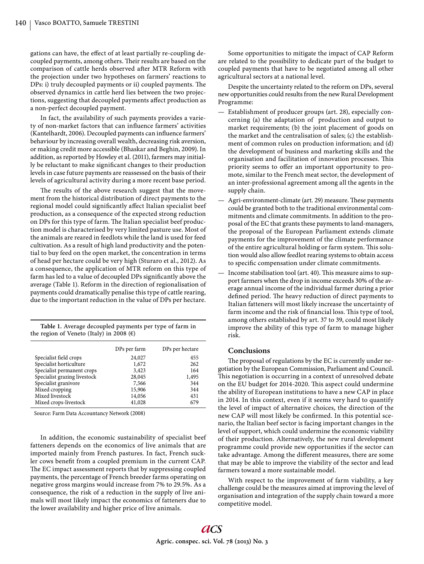gations can have, the effect of at least partially re-coupling decoupled payments, among others. Their results are based on the comparison of cattle herds observed after MTR Reform with the projection under two hypotheses on farmers' reactions to DPs: i) truly decoupled payments or ii) coupled payments. The observed dynamics in cattle herd lies between the two projections, suggesting that decoupled payments affect production as a non-perfect decoupled payment.

In fact, the availability of such payments provides a variety of non-market factors that can influence farmers' activities (Kantelhardt, 2006). Decoupled payments can influence farmers' behaviour by increasing overall wealth, decreasing risk aversion, or making credit more accessible (Bhaskar and Beghin, 2009). In addition, as reported by Howley et al. (2011), farmers may initially be reluctant to make significant changes to their production levels in case future payments are reassessed on the basis of their levels of agricultural activity during a more recent base period.

The results of the above research suggest that the movement from the historical distribution of direct payments to the regional model could significantly affect Italian specialist beef production, as a consequence of the expected strong reduction on DPs for this type of farm. The Italian specialist beef production model is characterised by very limited pasture use. Most of the animals are reared in feedlots while the land is used for feed cultivation. As a result of high land productivity and the potential to buy feed on the open market, the concentration in terms of head per hectare could be very high (Sturaro et al., 2012). As a consequence, the application of MTR reform on this type of farm has led to a value of decoupled DPs significantly above the average (Table 1). Reform in the direction of regionalisation of payments could dramatically penalise this type of cattle rearing, due to the important reduction in the value of DPs per hectare.

**Table 1.** Average decoupled payments per type of farm in the region of Veneto (Italy) in 2008  $(\epsilon)$ 

|                              | DPs per farm | DPs per hectare |
|------------------------------|--------------|-----------------|
| Specialist field crops       | 24,027       | 455             |
| Specialist horticulture      | 1,672        | 262             |
| Specialist permanent crops   | 3,423        | 164             |
| Specialist grazing livestock | 28,045       | 1,495           |
| Specialist granivore         | 7,566        | 344             |
| Mixed cropping               | 15,906       | 344             |
| Mixed livestock              | 14,056       | 431             |
| Mixed crops-livestock        | 41,028       | 679             |

Source: Farm Data Accountancy Network (2008)

In addition, the economic sustainability of specialist beef fatteners depends on the economics of live animals that are imported mainly from French pastures. In fact, French suckler cows benefit from a coupled premium in the current CAP. The EC impact assessment reports that by suppressing coupled payments, the percentage of French breeder farms operating on negative gross margins would increase from 7% to 29.5%. As a consequence, the risk of a reduction in the supply of live animals will most likely impact the economics of fatteners due to the lower availability and higher price of live animals.

Some opportunities to mitigate the impact of CAP Reform are related to the possibility to dedicate part of the budget to coupled payments that have to be negotiated among all other agricultural sectors at a national level.

Despite the uncertainty related to the reform on DPs, several new opportunities could results from the new Rural Development Programme:

- Establishment of producer groups (art. 28), especially concerning (a) the adaptation of production and output to market requirements; (b) the joint placement of goods on the market and the centralisation of sales; (c) the establishment of common rules on production information; and (d) the development of business and marketing skills and the organisation and facilitation of innovation processes. This priority seems to offer an important opportunity to promote, similar to the French meat sector, the development of an inter-professional agreement among all the agents in the supply chain.
- $-$  Agri-environment-climate (art. 29) measure. These payments could be granted both to the traditional environmental commitments and climate commitments. In addition to the proposal of the EC that grants these payments to land-managers, the proposal of the European Parliament extends climate payments for the improvement of the climate performance of the entire agricultural holding or farm system. This solution would also allow feedlot rearing systems to obtain access to specific compensation under climate commitments.
- $-$  Income stabilisation tool (art. 40). This measure aims to support farmers when the drop in income exceeds 30% of the average annual income of the individual farmer during a prior defined period. The heavy reduction of direct payments to Italian fatteners will most likely increase the uncertainty of farm income and the risk of financial loss. This type of tool, among others established by art. 37 to 39, could most likely improve the ability of this type of farm to manage higher risk.

# **Conclusions**

The proposal of regulations by the EC is currently under negotiation by the European Commission, Parliament and Council. This negotiation is occurring in a context of unresolved debate on the EU budget for 2014-2020. This aspect could undermine the ability of European institutions to have a new CAP in place in 2014. In this context, even if it seems very hard to quantify the level of impact of alternative choices, the direction of the new CAP will most likely be confirmed. In this potential scenario, the Italian beef sector is facing important changes in the level of support, which could undermine the economic viability of their production. Alternatively, the new rural development programme could provide new opportunities if the sector can take advantage. Among the different measures, there are some that may be able to improve the viability of the sector and lead farmers toward a more sustainable model.

With respect to the improvement of farm viability, a key challenge could be the measures aimed at improving the level of organisation and integration of the supply chain toward a more competitive model.